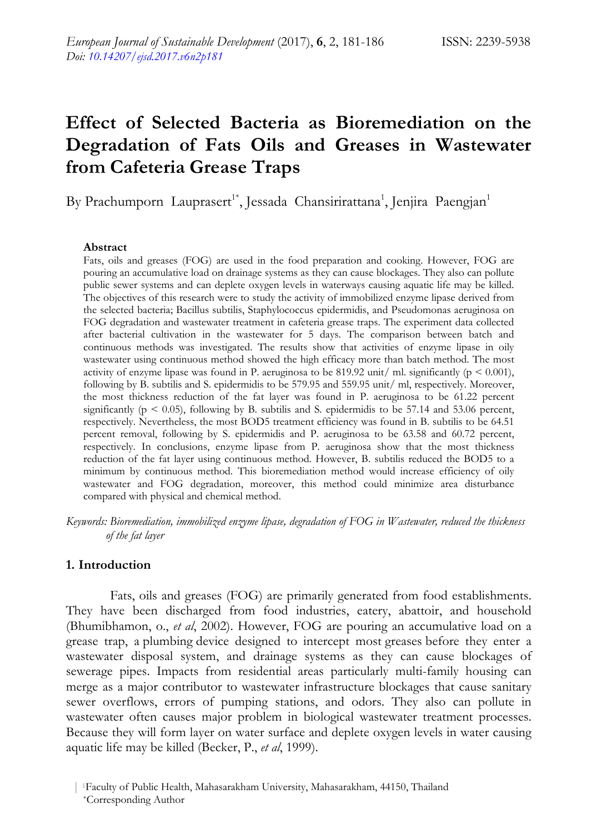# **Effect of Selected Bacteria as Bioremediation on the Degradation of Fats Oils and Greases in Wastewater from Cafeteria Grease Traps**

By Prachumporn Lauprasert<sup>1\*</sup>, Jessada Chansirirattana<sup>1</sup>, Jenjira Paengjan<sup>1</sup>

#### **Abstract**

Fats, oils and greases (FOG) are used in the food preparation and cooking. However, FOG are pouring an accumulative load on drainage systems as they can cause blockages. They also can pollute public sewer systems and can deplete oxygen levels in waterways causing aquatic life may be killed. The objectives of this research were to study the activity of immobilized enzyme lipase derived from the selected bacteria; Bacillus subtilis, Staphylococcus epidermidis, and Pseudomonas aeruginosa on FOG degradation and wastewater treatment in cafeteria grease traps. The experiment data collected after bacterial cultivation in the wastewater for 5 days. The comparison between batch and continuous methods was investigated. The results show that activities of enzyme lipase in oily wastewater using continuous method showed the high efficacy more than batch method. The most activity of enzyme lipase was found in P. aeruginosa to be 819.92 unit/ ml. significantly ( $p < 0.001$ ), following by B. subtilis and S. epidermidis to be 579.95 and 559.95 unit/ ml, respectively. Moreover, the most thickness reduction of the fat layer was found in P. aeruginosa to be 61.22 percent significantly ( $p < 0.05$ ), following by B. subtilis and S. epidermidis to be 57.14 and 53.06 percent, respectively. Nevertheless, the most BOD5 treatment efficiency was found in B. subtilis to be 64.51 percent removal, following by S. epidermidis and P. aeruginosa to be 63.58 and 60.72 percent, respectively. In conclusions, enzyme lipase from P. aeruginosa show that the most thickness reduction of the fat layer using continuous method. However, B. subtilis reduced the BOD5 to a minimum by continuous method. This bioremediation method would increase efficiency of oily wastewater and FOG degradation, moreover, this method could minimize area disturbance compared with physical and chemical method.

*Keywords: Bioremediation, immobilized enzyme lipase, degradation of FOG in Wastewater, reduced the thickness of the fat layer* 

## **1. Introduction**

Fats, oils and greases (FOG) are primarily generated from food establishments. They have been discharged from food industries, eatery, abattoir, and household (Bhumibhamon, o., *et al*, 2002). However, FOG are pouring an accumulative load on a grease trap, a plumbing device designed to intercept most greases before they enter a wastewater disposal system, and drainage systems as they can cause blockages of sewerage pipes. Impacts from residential areas particularly multi-family housing can merge as a major contributor to wastewater infrastructure blockages that cause sanitary sewer overflows, errors of pumping stations, and odors. They also can pollute in wastewater often causes major problem in biological wastewater treatment processes. Because they will form layer on water surface and deplete oxygen levels in water causing aquatic life may be killed (Becker, P., *et al*, 1999).

<sup>| 1</sup>Faculty of Public Health, Mahasarakham University, Mahasarakham, 44150, Thailand \*Corresponding Author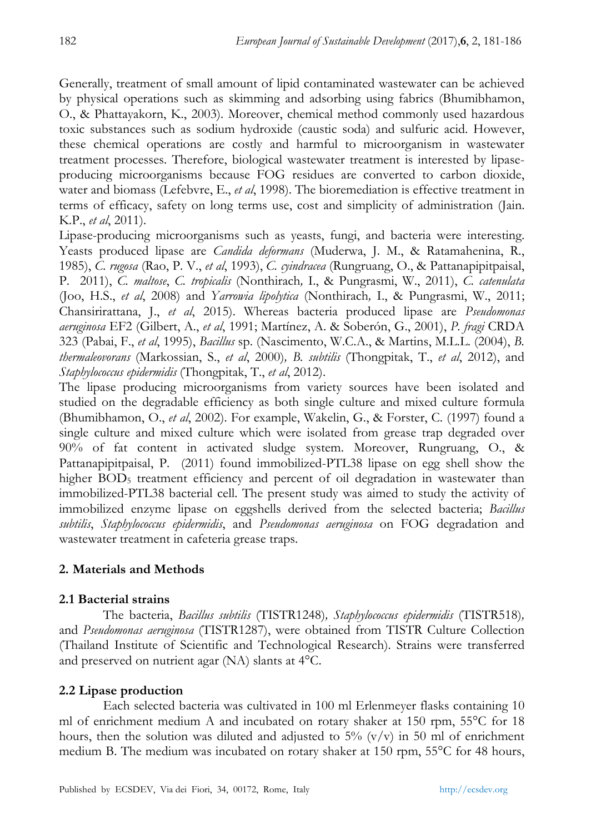Generally, treatment of small amount of lipid contaminated wastewater can be achieved by physical operations such as skimming and adsorbing using fabrics (Bhumibhamon, O., & Phattayakorn, K., 2003). Moreover, chemical method commonly used hazardous toxic substances such as sodium hydroxide (caustic soda) and sulfuric acid. However, these chemical operations are costly and harmful to microorganism in wastewater treatment processes. Therefore, biological wastewater treatment is interested by lipaseproducing microorganisms because FOG residues are converted to carbon dioxide, water and biomass (Lefebvre, E., *et al*, 1998). The bioremediation is effective treatment in terms of efficacy, safety on long terms use, cost and simplicity of administration (Jain. K.P., *et al*, 2011).

Lipase-producing microorganisms such as yeasts, fungi, and bacteria were interesting. Yeasts produced lipase are *Candida deformans* (Muderwa, J. M., & Ratamahenina, R., 1985), *C. rugosa* (Rao, P. V., *et al*, 1993), *C. cyindracea* (Rungruang, O., & Pattanapipitpaisal, P. 2011), *C. maltose*, *C. tropicalis* (Nonthirach*,* I., & Pungrasmi, W., 2011), *C. catenulata* (Joo, H.S., *et al*, 2008) and *Yarrowia lipolytica* (Nonthirach*,* I., & Pungrasmi, W., 2011; Chansirirattana, J., *et al*, 2015). Whereas bacteria produced lipase are *Pseudomonas aeruginosa* EF2 (Gilbert, A., *et al*, 1991; Martínez, A. & Soberón, G., 2001), *P. fragi* CRDA 323 (Pabai, F., *et al*, 1995), *Bacillus* sp. (Nascimento, W.C.A., & Martins, M.L.L. (2004), *B. thermaleovorans* (Markossian, S., *et al*, 2000)*, B. subtilis* (Thongpitak, T., *et al*, 2012), and *Staphylococcus epidermidis* (Thongpitak, T., *et al*, 2012).

The lipase producing microorganisms from variety sources have been isolated and studied on the degradable efficiency as both single culture and mixed culture formula (Bhumibhamon, O., *et al*, 2002). For example, Wakelin, G., & Forster, C. (1997) found a single culture and mixed culture which were isolated from grease trap degraded over 90% of fat content in activated sludge system. Moreover, Rungruang, O., & Pattanapipitpaisal, P. (2011) found immobilized-PTL38 lipase on egg shell show the higher BOD<sub>5</sub> treatment efficiency and percent of oil degradation in wastewater than immobilized-PTL38 bacterial cell. The present study was aimed to study the activity of immobilized enzyme lipase on eggshells derived from the selected bacteria; *Bacillus subtilis*, *Staphylococcus epidermidis*, and *Pseudomonas aeruginosa* on FOG degradation and wastewater treatment in cafeteria grease traps.

# **2. Materials and Methods**

# **2.1 Bacterial strains**

The bacteria, *Bacillus subtilis* (TISTR1248)*, Staphylococcus epidermidis* (TISTR518)*,*  and *Pseudomonas aeruginosa* (TISTR1287), were obtained from TISTR Culture Collection (Thailand Institute of Scientific and Technological Research). Strains were transferred and preserved on nutrient agar (NA) slants at 4°C.

# **2.2 Lipase production**

Each selected bacteria was cultivated in 100 ml Erlenmeyer flasks containing 10 ml of enrichment medium A and incubated on rotary shaker at 150 rpm, 55°C for 18 hours, then the solution was diluted and adjusted to  $5\%$  (v/v) in 50 ml of enrichment medium B. The medium was incubated on rotary shaker at 150 rpm, 55°C for 48 hours,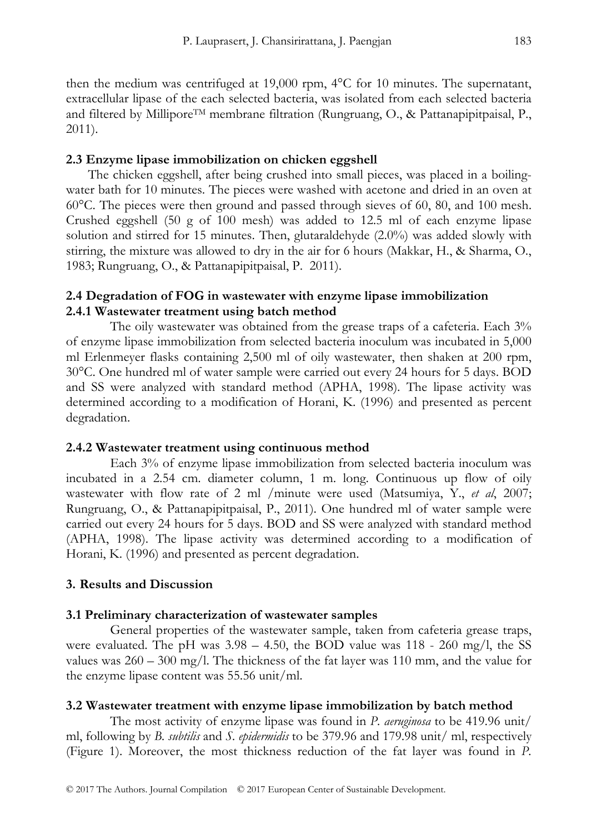then the medium was centrifuged at 19,000 rpm, 4°C for 10 minutes. The supernatant, extracellular lipase of the each selected bacteria, was isolated from each selected bacteria and filtered by Millipore<sup>TM</sup> membrane filtration (Rungruang, O., & Pattanapipitpaisal, P., 2011).

#### **2.3 Enzyme lipase immobilization on chicken eggshell**

The chicken eggshell, after being crushed into small pieces, was placed in a boilingwater bath for 10 minutes. The pieces were washed with acetone and dried in an oven at 60°C. The pieces were then ground and passed through sieves of 60, 80, and 100 mesh. Crushed eggshell (50 g of 100 mesh) was added to 12.5 ml of each enzyme lipase solution and stirred for 15 minutes. Then, glutaraldehyde (2.0%) was added slowly with stirring, the mixture was allowed to dry in the air for 6 hours (Makkar, H., & Sharma, O., 1983; Rungruang, O., & Pattanapipitpaisal, P. 2011).

## **2.4 Degradation of FOG in wastewater with enzyme lipase immobilization 2.4.1 Wastewater treatment using batch method**

The oily wastewater was obtained from the grease traps of a cafeteria. Each 3% of enzyme lipase immobilization from selected bacteria inoculum was incubated in 5,000 ml Erlenmeyer flasks containing 2,500 ml of oily wastewater, then shaken at 200 rpm, 30°C. One hundred ml of water sample were carried out every 24 hours for 5 days. BOD and SS were analyzed with standard method (APHA, 1998). The lipase activity was determined according to a modification of Horani, K. (1996) and presented as percent degradation.

#### **2.4.2 Wastewater treatment using continuous method**

Each 3% of enzyme lipase immobilization from selected bacteria inoculum was incubated in a 2.54 cm. diameter column, 1 m. long. Continuous up flow of oily wastewater with flow rate of 2 ml /minute were used (Matsumiya, Y., *et al*, 2007; Rungruang, O., & Pattanapipitpaisal, P., 2011). One hundred ml of water sample were carried out every 24 hours for 5 days. BOD and SS were analyzed with standard method (APHA, 1998). The lipase activity was determined according to a modification of Horani, K. (1996) and presented as percent degradation.

#### **3. Results and Discussion**

#### **3.1 Preliminary characterization of wastewater samples**

General properties of the wastewater sample, taken from cafeteria grease traps, were evaluated. The pH was  $3.98 - 4.50$ , the BOD value was  $118 - 260$  mg/l, the SS values was  $260 - 300$  mg/l. The thickness of the fat layer was 110 mm, and the value for the enzyme lipase content was 55.56 unit/ml.

#### **3.2 Wastewater treatment with enzyme lipase immobilization by batch method**

The most activity of enzyme lipase was found in *P. aeruginosa* to be 419.96 unit/ ml, following by *B. subtilis* and *S. epidermidis* to be 379.96 and 179.98 unit/ ml, respectively (Figure 1). Moreover, the most thickness reduction of the fat layer was found in *P.*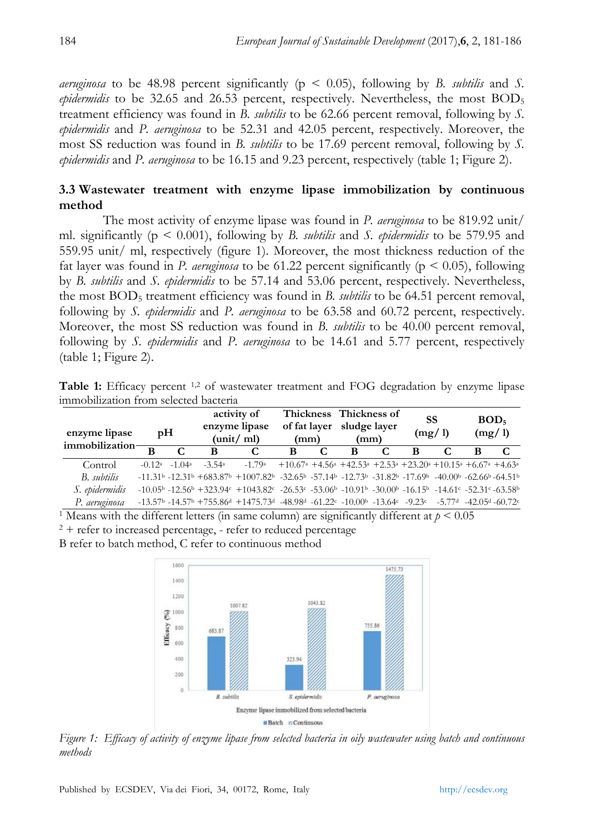*aeruginosa* to be 48.98 percent significantly ( $p \leq 0.05$ ), following by *B. subtilis* and *S. epidermidis* to be 32.65 and 26.53 percent, respectively. Nevertheless, the most BOD<sub>5</sub> treatment efficiency was found in *B. subtilis* to be 62.66 percent removal, following by *S. epidermidis* and *P. aeruginosa* to be 52.31 and 42.05 percent, respectively. Moreover, the most SS reduction was found in *B. subtilis* to be 17.69 percent removal, following by *S. epidermidis* and *P. aeruginosa* to be 16.15 and 9.23 percent, respectively (table 1; Figure 2).

# **3.3 Wastewater treatment with enzyme lipase immobilization by continuous method**

The most activity of enzyme lipase was found in *P. aeruginosa* to be 819.92 unit/ ml. significantly (p < 0.001), following by *B. subtilis* and *S. epidermidis* to be 579.95 and 559.95 unit/ ml, respectively (figure 1). Moreover, the most thickness reduction of the fat layer was found in *P. aeruginosa* to be 61.22 percent significantly ( $p < 0.05$ ), following by *B. subtilis* and *S. epidermidis* to be 57.14 and 53.06 percent, respectively. Nevertheless, the most BOD5 treatment efficiency was found in *B. subtilis* to be 64.51 percent removal, following by *S. epidermidis* and *P. aeruginosa* to be 63.58 and 60.72 percent, respectively. Moreover, the most SS reduction was found in *B. subtilis* to be 40.00 percent removal, following by *S. epidermidis* and *P. aeruginosa* to be 14.61 and 5.77 percent, respectively (table 1; Figure 2).

| Table 1: Efficacy percent <sup>1,2</sup> of wastewater treatment and FOG degradation by enzyme lipase |  |  |
|-------------------------------------------------------------------------------------------------------|--|--|
| immobilization from selected bacteria                                                                 |  |  |

| enzyme lipase<br>immobilization $\frac{1}{\sqrt{2}}$ | pH |                     | activity of<br>enzyme lipase<br>$(\text{unit}/ \text{ ml})$ |                                                                                                                                                                                                                                                  | Thickness Thickness of<br>of fat layer sludge layer<br>(mm)                                                                                                 |  | (mm) |  | SS<br>(mg/1) |  | BOD <sub>5</sub><br>(mg/1) |  |
|------------------------------------------------------|----|---------------------|-------------------------------------------------------------|--------------------------------------------------------------------------------------------------------------------------------------------------------------------------------------------------------------------------------------------------|-------------------------------------------------------------------------------------------------------------------------------------------------------------|--|------|--|--------------|--|----------------------------|--|
|                                                      | B  |                     | B                                                           | C                                                                                                                                                                                                                                                | B                                                                                                                                                           |  | B    |  | в            |  | в                          |  |
| Control                                              |    | $-0.12^a$ $-1.04^a$ | $-3.54$ <sup>a</sup>                                        | $-1.79a$                                                                                                                                                                                                                                         | $+10.67^{\text{a}}$ +4.56 <sup>a</sup> +42.53 <sup>a</sup> +2.53 <sup>a</sup> +23.20 <sup>a</sup> +10.15 <sup>a</sup> +6.67 <sup>a</sup> +4.63 <sup>a</sup> |  |      |  |              |  |                            |  |
| B. subtilis                                          |    |                     |                                                             | $-11.31^b$ $-12.31^b$ $+683.87^b$ $+1007.82^b$ $-32.65^b$ $-57.14^b$ $-12.73^b$ $-31.82^b$ $-17.69^b$ $-40.00^b$ $-62.66^b$ $-64.51^b$                                                                                                           |                                                                                                                                                             |  |      |  |              |  |                            |  |
| S. epidermidis                                       |    |                     |                                                             | $-10.05^{\rm b}$ $-12.56^{\rm b}$ $+323.94^{\rm c}$ $+1043.82^{\rm c}$ $-26.53^{\rm c}$ $-53.06^{\rm b}$ $-10.91^{\rm b}$ $-30.00^{\rm b}$ $-16.15^{\rm b}$ $-14.61^{\rm c}$ $-52.31^{\rm c}$ $-63.58^{\rm b}$                                   |                                                                                                                                                             |  |      |  |              |  |                            |  |
| P. aeruginosa                                        |    |                     |                                                             | $-13.57^{\text{b}}$ $-14.57^{\text{b}}$ $+755.86^{\text{d}}$ $+1475.73^{\text{d}}$ $-48.98^{\text{d}}$ $-61.22^{\text{c}}$ $-10.00^{\text{b}}$ $-13.64^{\text{c}}$ $-9.23^{\text{c}}$ $-5.77^{\text{d}}$ $-42.05^{\text{d}}$ $-60.72^{\text{c}}$ |                                                                                                                                                             |  |      |  |              |  |                            |  |

<sup>1</sup> Means with the different letters (in same column) are significantly different at  $p \le 0.05$ 

 $2 +$  refer to increased percentage, - refer to reduced percentage

B refer to batch method, C refer to continuous method



*Figure 1: Efficacy of activity of enzyme lipase from selected bacteria in oily wastewater using batch and continuous methods*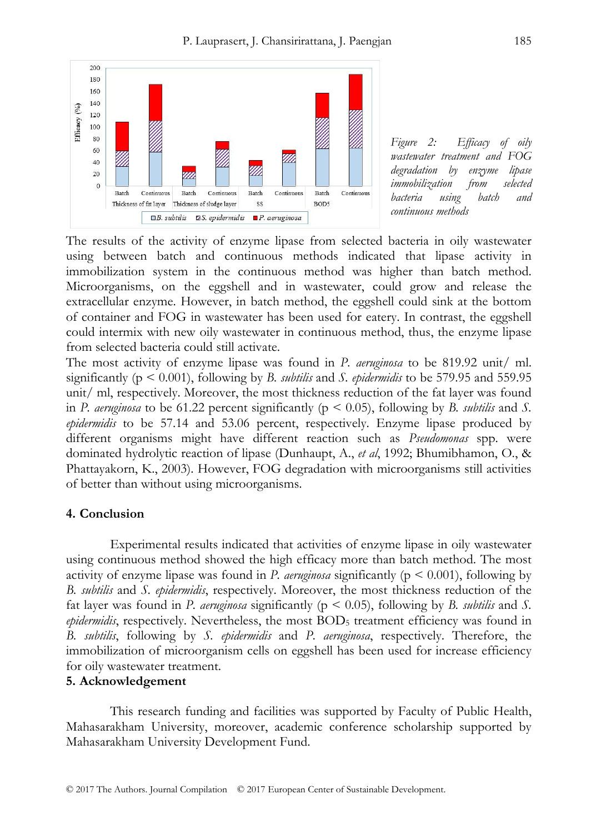

*Figure 2: Efficacy of oily wastewater treatment and FOG degradation by enzyme lipase immobilization from selected bacteria using batch and continuous methods* 

The results of the activity of enzyme lipase from selected bacteria in oily wastewater using between batch and continuous methods indicated that lipase activity in immobilization system in the continuous method was higher than batch method. Microorganisms, on the eggshell and in wastewater, could grow and release the extracellular enzyme. However, in batch method, the eggshell could sink at the bottom of container and FOG in wastewater has been used for eatery. In contrast, the eggshell could intermix with new oily wastewater in continuous method, thus, the enzyme lipase from selected bacteria could still activate.

The most activity of enzyme lipase was found in *P. aeruginosa* to be 819.92 unit/ ml. significantly (p < 0.001), following by *B. subtilis* and *S. epidermidis* to be 579.95 and 559.95 unit/ ml, respectively. Moreover, the most thickness reduction of the fat layer was found in *P. aeruginosa* to be 61.22 percent significantly ( $p < 0.05$ ), following by *B. subtilis* and *S. epidermidis* to be 57.14 and 53.06 percent, respectively. Enzyme lipase produced by different organisms might have different reaction such as *Pseudomonas* spp. were dominated hydrolytic reaction of lipase (Dunhaupt, A., *et al*, 1992; Bhumibhamon, O., & Phattayakorn, K., 2003). However, FOG degradation with microorganisms still activities of better than without using microorganisms.

## **4. Conclusion**

Experimental results indicated that activities of enzyme lipase in oily wastewater using continuous method showed the high efficacy more than batch method. The most activity of enzyme lipase was found in *P. aeruginosa* significantly ( $p \leq 0.001$ ), following by *B. subtilis* and *S. epidermidis*, respectively. Moreover, the most thickness reduction of the fat layer was found in *P. aeruginosa* significantly (p < 0.05), following by *B. subtilis* and *S. epidermidis*, respectively. Nevertheless, the most BOD<sub>5</sub> treatment efficiency was found in *B. subtilis*, following by *S. epidermidis* and *P. aeruginosa*, respectively. Therefore, the immobilization of microorganism cells on eggshell has been used for increase efficiency for oily wastewater treatment.

## **5. Acknowledgement**

This research funding and facilities was supported by Faculty of Public Health, Mahasarakham University, moreover, academic conference scholarship supported by Mahasarakham University Development Fund.